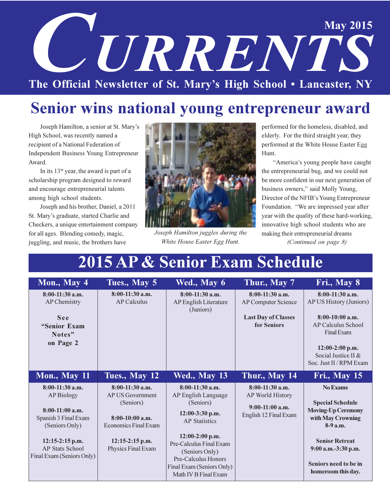# **May 2015 CETRRENTS** The Official Newsletter of St. Mary's High School . Lancaster, NY

## Senior wins national young entrepreneur award

Joseph Hamilton, a senior at St. Mary's High School, was recently named a recipient of a National Federation of Independent Business Young Entrepreneur Award.

In its  $13<sup>th</sup>$  year, the award is part of a scholarship program designed to reward and encourage entrepreneurial talents among high school students.

Joseph and his brother, Daniel, a 2011 St. Mary's graduate, started Charlie and Checkers, a unique entertainment company for all ages. Blending comedy, magic, juggling, and music, the brothers have



Joseph Hamilton juggles during the White House Easter Egg Hunt.

performed for the homeless, disabled, and elderly. For the third straight year, they performed at the White House Easter Egg Hunt.

"America's young people have caught the entrepreneurial bug, and we could not be more confident in our next generation of business owners," said Molly Young, Director of the NFIB's Young Entrepreneur Foundation. "We are impressed year after year with the quality of these hard-working, innovative high school students who are making their entrepreneurial dreams (Continued on page 8)

## 2015 AP & Senior Exam Schedule

| Mon., May 4                                                                                                                                                                       | Tues., May 5                                                                                                                                      | Wed., May 6                                                                                                                                                                                                                                      | Thur., May 7                                                                                 | Fri., May 8                                                                                                                                                                                              |
|-----------------------------------------------------------------------------------------------------------------------------------------------------------------------------------|---------------------------------------------------------------------------------------------------------------------------------------------------|--------------------------------------------------------------------------------------------------------------------------------------------------------------------------------------------------------------------------------------------------|----------------------------------------------------------------------------------------------|----------------------------------------------------------------------------------------------------------------------------------------------------------------------------------------------------------|
| $8:00-11:30$ a.m.<br>AP Chemistry<br>See<br>"Senior Exam<br>Notes"<br>on Page 2                                                                                                   | $8:00-11:30$ a.m.<br><b>AP Calculus</b>                                                                                                           | $8:00-11:30$ a.m.<br>AP English Literature<br>(Juniors)                                                                                                                                                                                          | $8:00-11:30$ a.m.<br><b>AP Computer Science</b><br><b>Last Day of Classes</b><br>for Seniors | $8:00-11:30$ a.m.<br>AP US History (Juniors)<br>$8:00-10:00$ a.m.<br>AP Calculus School<br>Final Exam<br>$12:00-2:00$ p.m.<br>Social Justice II &<br>Soc. Just II / RPM Exam                             |
| <b>Mon., May 11</b>                                                                                                                                                               | Tues., May 12                                                                                                                                     | <b>Wed., May 13</b>                                                                                                                                                                                                                              | Thur., May 14                                                                                | <b>Fri., May 15</b>                                                                                                                                                                                      |
| $8:00-11:30$ a.m.<br><b>AP Biology</b><br>$8:00-11:00$ a.m.<br>Spanish 3 Final Exam<br>(Seniors Only)<br>$12:15-2:15$ p.m.<br><b>AP Stats School</b><br>Final Exam (Seniors Only) | $8:00-11:30$ a.m.<br><b>AP US Government</b><br>(Seniors)<br>$8:00-10:00$ a.m.<br>Economics Final Exam<br>$12:15-2:15$ p.m.<br>Physics Final Exam | $8:00-11:30$ a.m.<br>AP English Language<br>(Seniors)<br>$12:00-3:30$ p.m.<br><b>AP Statistics</b><br>$12:00-2:00$ p.m.<br>Pre-Calculus Final Exam<br>(Seniors Only)<br>Pre-Calculus Honors<br>Final Exam (Seniors Only)<br>Math IV B Final Exam | $8:00-11:30$ a.m.<br>AP World History<br>$9:00-11:00$ a.m.<br>English 12 Final Exam          | <b>No Exams</b><br><b>Special Schedule</b><br><b>Moving-Up Ceremony</b><br>with May Crowning<br>$8-9a.m.$<br><b>Senior Retreat</b><br>9:00 a.m.-3:30 p.m.<br>Seniors need to be in<br>homeroom this day. |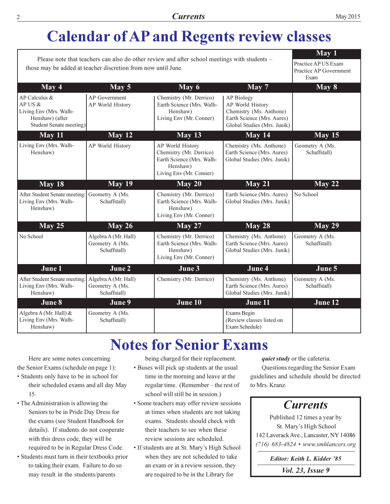## **Calendar of AP and Regents review classes**

|                                                                                                                                                               | May 1                                                   |                                                                                                                 |                                                                                                                        |                                 |
|---------------------------------------------------------------------------------------------------------------------------------------------------------------|---------------------------------------------------------|-----------------------------------------------------------------------------------------------------------------|------------------------------------------------------------------------------------------------------------------------|---------------------------------|
| Please note that teachers can also do other review and after school meetings with students -<br>those may be added at teacher discretion from now until June. | Practice AP US Exam<br>Practice AP Government<br>Exam   |                                                                                                                 |                                                                                                                        |                                 |
| May 4                                                                                                                                                         | May 5                                                   | May 6                                                                                                           | $\overline{May}$ 7                                                                                                     | $\overline{May 8}$              |
| AP Calculus &<br>AP US &<br>Living Env (Mrs. Walh-<br>Henshaw) (after<br>Student Senate meeting)                                                              | AP Government<br>AP World History                       | Chemistry (Mr. Derrico)<br>Earth Science (Mrs. Walh-<br>Henshaw)<br>Living Env (Mr. Conner)                     | AP Biology<br>AP World History<br>Chemistry (Ms. Anthone)<br>Earth Science (Mrs. Aures)<br>Global Studies (Mrs. Junik) |                                 |
| May 11                                                                                                                                                        | May 12                                                  | May 13                                                                                                          | May 14                                                                                                                 | May 15                          |
| Living Env (Mrs. Walh-<br>Henshaw)                                                                                                                            | AP World History                                        | AP World History<br>Chemistry (Mr. Derrico)<br>Earth Science (Mrs. Walh-<br>Henshaw)<br>Living Env (Mr. Conner) | Chemistry (Ms. Anthone)<br>Earth Science (Mrs. Aures)<br>Global Studies (Mrs. Junik)                                   | Geometry A (Ms.<br>Schaffstall) |
| May 18                                                                                                                                                        | <b>May 19</b>                                           | May 20                                                                                                          | May 21                                                                                                                 | May 22                          |
| After Student Senate meeting:<br>Living Env (Mrs. Walh-<br>Henshaw)                                                                                           | Geometry A (Ms.<br>Schaffstall)                         | Chemistry (Mr. Derrico)<br>Earth Science (Mrs. Walh-<br>Henshaw)<br>Living Env (Mr. Conner)                     | Earth Science (Mrs. Aures)<br>Global Studies (Mrs. Junik)                                                              | No School                       |
| May 25                                                                                                                                                        | <b>May 26</b>                                           | May 27                                                                                                          | May 28                                                                                                                 | May 29                          |
| No School                                                                                                                                                     | Algebra A (Mr. Hall)<br>Geometry A (Ms.<br>Schaffstall) | Chemistry (Mr. Derrico)<br>Earth Science (Mrs. Walh-<br>Henshaw)<br>Living Env (Mr. Conner)                     | Chemistry (Ms. Anthone)<br>Earth Science (Mrs. Aures)<br>Global Studies (Mrs. Junik)                                   | Geometry A (Ms.<br>Schaffstall) |
| June 1                                                                                                                                                        | June 2                                                  | June 3                                                                                                          | June 4                                                                                                                 | June 5                          |
| After Student Senate meeting:<br>Living Env (Mrs. Walh-<br>Henshaw)                                                                                           | Algebra A (Mr. Hall)<br>Geometry A (Ms.<br>Schaffstall) | Chemistry (Mr. Derrico)                                                                                         | Chemistry (Ms. Anthone)<br>Earth Science (Mrs. Aures)<br>Global Studies (Mrs. Junik)                                   | Geometry A (Ms.<br>Schaffstall) |
| June 8                                                                                                                                                        | June 9                                                  | June 10                                                                                                         | June 11                                                                                                                | June 12                         |
| Algebra A (Mr. Hall) &<br>Living Env (Mrs. Walh-<br>Henshaw)                                                                                                  | Geometry A (Ms.<br>Schaffstall)                         |                                                                                                                 | Exams Begin<br>(Review classes listed on<br>Exam Schedule)                                                             |                                 |

### **Notes for Senior Exams**

Here are some notes concerning the Senior Exams (schedule on page 1):

- Students only have to be in school for their scheduled exams and all day May 15.
- The Administration is allowing the Seniors to be in Pride Day Dress for the exams (see Student Handbook for details). If students do not cooperate with this dress code, they will be required to be in Regular Dress Code.
- Students must turn in their textbooks prior to taking their exam. Failure to do so may result in the students/parents

being charged for their replacement. • Buses will pick up students at the usual time in the morning and leave at the regular time. (Remember-the rest of school will still be in session.)

- Some teachers may offer review sessions at times when students are not taking exams. Students should check with their teachers to see when these review sessions are scheduled.
- If students are at St. Mary's High School when they are not scheduled to take an exam or in a review session, they are required to be in the Library for

*quiet study* or the cafeteria.

Questions regarding the Senior Exam guidelines and schedule should be directed to Mrs. Kranz.

### **Currents**

Published 12 times a year by St. Mary's High School 142 Laverack Ave., Lancaster, NY 14086 (716) 683-4824 • www.smhlancers.org

Editor: Keith L. Kidder '85

*Vol. 23, Issue 9*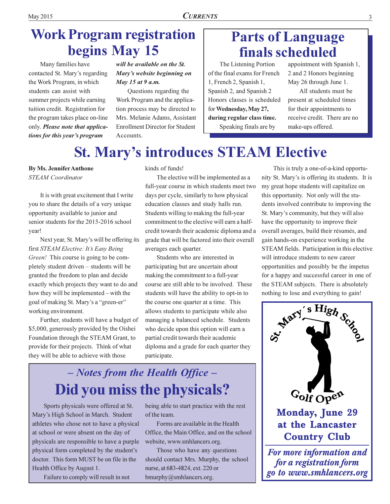## **Work Program registration** begins May 15

Many families have contacted St. Mary's regarding the Work Program, in which students can assist with summer projects while earning tuition credit. Registration for the program takes place on-line only. Please note that applications for this year's program

will be available on the St. Mary's website beginning on May 15 at 9 a.m.

Questions regarding the Work Program and the application process may be directed to Mrs. Melanie Adams, Assistant **Enrollment Director for Student** Accounts.

### **Parts of Language finals scheduled**

The Listening Portion of the final exams for French 1, French 2, Spanish 1, Spanish 2, and Spanish 2 Honors classes is scheduled for Wednesday, May 27, during regular class time. Speaking finals are by

appointment with Spanish 1, 2 and 2 Honors beginning May 26 through June 1.

All students must be present at scheduled times for their appointments to receive credit. There are no make-ups offered.

## **St. Mary's introduces STEAM Elective**

**By Ms. Jennifer Anthone STEAM** Coordinator

It is with great excitement that I write you to share the details of a very unique opportunity available to junior and senior students for the 2015-2016 school year!

Next year, St. Mary's will be offering its first STEAM Elective: It's Easy Being Green! This course is going to be completely student driven – students will be granted the freedom to plan and decide exactly which projects they want to do and how they will be implemented – with the goal of making St. Mary's a "green-er" working environment.

Further, students will have a budget of \$5,000, generously provided by the Oishei Foundation through the STEAM Grant, to provide for their projects. Think of what they will be able to achieve with those

kinds of funds!

The elective will be implemented as a full-year course in which students meet two days per cycle, similarly to how physical education classes and study halls run. Students willing to making the full-year commitment to the elective will earn a halfcredit towards their academic diploma and a grade that will be factored into their overall averages each quarter.

Students who are interested in participating but are uncertain about making the commitment to a full-year course are still able to be involved. These students will have the ability to opt-in to the course one quarter at a time. This allows students to participate while also managing a balanced schedule. Students who decide upon this option will earn a partial credit towards their academic diploma and a grade for each quarter they participate.

## - Notes from the Health Office -Did you miss the physicals?

Sports physicals were offered at St. Mary's High School in March. Student athletes who chose not to have a physical at school or were absent on the day of physicals are responsible to have a purple physical form completed by the student's doctor. This form MUST be on file in the Health Office by August 1.

Failure to comply will result in not

being able to start practice with the rest of the team.

Forms are available in the Health Office, the Main Office, and on the school website, www.smhlancers.org.

Those who have any questions should contact Mrs. Murphy, the school nurse, at 683-4824, ext. 220 or bmurphy@smhlancers.org.

This is truly a one-of-a-kind opportunity St. Mary's is offering its students. It is my great hope students will capitalize on this opportunity. Not only will the students involved contribute to improving the St. Mary's community, but they will also have the opportunity to improve their overall averages, build their résumés, and gain hands-on experience working in the STEAM fields. Participation in this elective will introduce students to new career opportunities and possibly be the impetus for a happy and successful career in one of the STEAM subjects. There is absolutely nothing to lose and everything to gain!

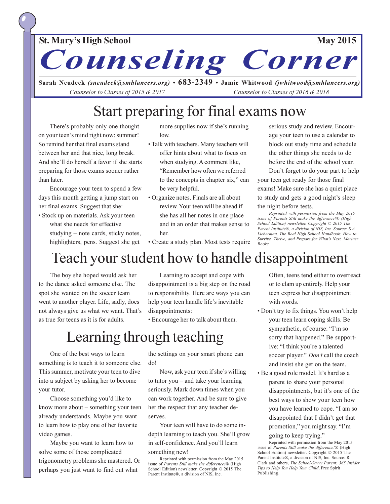#### **St. Mary's High School**

Corner Counseling

Sarah Neudeck (sneudeck@smhlancers.org) •  $683-2349$  • Jamie Whitwood (jwhitwood@smhlancers.org) Counselor to Classes of 2015 & 2017 Counselor to Classes of 2016 & 2018

### Start preparing for final exams now

There's probably only one thought on your teen's mind right now: summer! So remind her that final exams stand between her and that nice, long break. And she'll do herself a favor if she starts preparing for those exams sooner rather than later.

Encourage your teen to spend a few days this month getting a jump start on her final exams. Suggest that she:

• Stock up on materials. Ask your teen what she needs for effective studying – note cards, sticky notes, highlighters, pens. Suggest she get

more supplies now if she's running low.

- · Talk with teachers. Many teachers will offer hints about what to focus on when studying. A comment like, "Remember how often we referred to the concepts in chapter six," can be very helpful.
- Organize notes. Finals are all about review. Your teen will be ahead if she has all her notes in one place and in an order that makes sense to her
- Create a study plan. Most tests require

serious study and review. Encourage your teen to use a calendar to block out study time and schedule the other things she needs to do before the end of the school year.

Don't forget to do your part to help your teen get ready for those final exams! Make sure she has a quiet place to study and gets a good night's sleep the night before tests.

Reprinted with permission from the May 2015 issue of Parents Still make the difference!® (High School Edition) newsletter. Copyright © 2015 The Parent Institute®, a division of NIS, Inc. Source: S.A. Lieberman, The Real High School Handbook: How to Survive, Thrive, and Prepare for What's Next, Mariner  $Booke$ 

## Teach your student how to handle disappointment

The boy she hoped would ask her to the dance asked someone else. The spot she wanted on the soccer team went to another player. Life, sadly, does not always give us what we want. That's as true for teens as it is for adults.

Learning to accept and cope with disappointment is a big step on the road to responsibility. Here are ways you can help your teen handle life's inevitable disappointments:

• Encourage her to talk about them.

### Learning through teaching

One of the best ways to learn something is to teach it to someone else. This summer, motivate your teen to dive into a subject by asking her to become vour tutor.

Choose something you'd like to know more about  $-$  something your teen already understands. Maybe you want to learn how to play one of her favorite video games.

Maybe you want to learn how to solve some of those complicated trigonometry problems she mastered. Or perhaps you just want to find out what

the settings on your smart phone can do!

Now, ask your teen if she's willing to tutor you – and take your learning seriously. Mark down times when you can work together. And be sure to give her the respect that any teacher deserves.

Your teen will have to do some indepth learning to teach you. She'll grow in self-confidence. And you'll learn something new!

Reprinted with permission from the May 2015 issue of Parents Still make the difference!® (High School Edition) newsletter. Copyright © 2015 The Parent Institute®, a division of NIS, Inc.

Often, teens tend either to overreact or to clam up entirely. Help your teen express her disappointment with words.

- Don't try to fix things. You won't help your teen learn coping skills. Be sympathetic, of course: "I'm so sorry that happened." Be supportive: "I think you're a talented soccer player." Don't call the coach and insist she get on the team.
- Be a good role model. It's hard as a parent to share your personal disappointments, but it's one of the best ways to show your teen how you have learned to cope. "I am so disappointed that I didn't get that promotion," you might say. "I'm

#### going to keep trying."

Reprinted with permission from the May 2015 issue of Parents Still make the difference!® (High School Edition) newsletter. Copyright © 2015 The Parent Institute®, a division of NIS, Inc. Source: R. Clark and others, The School-Savvy Parent: 365 Insider Tips to Help You Help Your Child, Free Spirit Publishing.

#### **May 2015**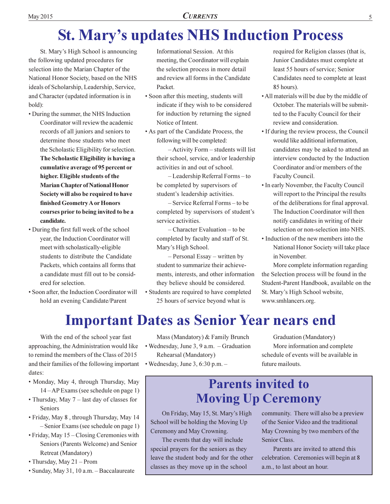## **St. Mary's updates NHS Induction Process**

St. Mary's High School is announcing the following updated procedures for selection into the Marian Chapter of the National Honor Society, based on the NHS ideals of Scholarship, Leadership, Service, and Character (updated information is in bold):

- During the summer, the NHS Induction Coordinator will review the academic records of all juniors and seniors to determine those students who meet the Scholastic Eligibility for selection. The Scholastic Eligibility is having a cumulative average of 95 percent or higher. Eligible students of the **Marian Chapter of National Honor** Society will also be required to have finished Geometry A or Honors courses prior to being invited to be a candidate.
- During the first full week of the school year, the Induction Coordinator will meet with scholastically-eligible students to distribute the Candidate Packets, which contains all forms that a candidate must fill out to be considered for selection.
- · Soon after, the Induction Coordinator will hold an evening Candidate/Parent

Informational Session. At this meeting, the Coordinator will explain the selection process in more detail and review all forms in the Candidate Packet.

- Soon after this meeting, students will indicate if they wish to be considered for induction by returning the signed Notice of Intent.
- As part of the Candidate Process, the following will be completed:

-Activity Form - students will list their school, service, and/or leadership activities in and out of school.

 $-$ Leadership Referral Forms  $-$  to be completed by supervisors of student's leadership activities.

- Service Referral Forms - to be completed by supervisors of student's service activities.

 $-$ Character Evaluation  $-$  to be completed by faculty and staff of St. Mary's High School.

 $-$  Personal Essay – written by student to summarize their achievements, interests, and other information they believe should be considered.

• Students are required to have completed 25 hours of service beyond what is

required for Religion classes (that is, Junior Candidates must complete at least 55 hours of service; Senior Candidates need to complete at least 85 hours).

- All materials will be due by the middle of October. The materials will be submitted to the Faculty Council for their review and consideration.
- If during the review process, the Council would like additional information, candidates may be asked to attend an interview conducted by the Induction Coordinator and/or members of the Faculty Council.
- In early November, the Faculty Council will report to the Principal the results of the deliberations for final approval. The Induction Coordinator will then notify candidates in writing of their selection or non-selection into NHS.
- Induction of the new members into the National Honor Society will take place in November.

More complete information regarding the Selection process will be found in the Student-Parent Handbook, available on the St. Mary's High School website, www.smhlancers.org.

### **Important Dates as Senior Year nears end**

With the end of the school year fast approaching, the Administration would like to remind the members of the Class of 2015 and their families of the following important dates:

- · Monday, May 4, through Thursday, May  $14 - AP$  Exams (see schedule on page 1)
- Thursday, May 7 last day of classes for Seniors
- · Friday, May 8, through Thursday, May 14 - Senior Exams (see schedule on page 1)
- Friday, May 15 Closing Ceremonies with Seniors (Parents Welcome) and Senior Retreat (Mandatory)
- Thursday, May 21 Prom
- · Sunday, May 31, 10 a.m. Baccalaureate

Mass (Mandatory) & Family Brunch • Wednesday, June 3, 9 a.m. - Graduation Rehearsal (Mandatory)

· Wednesday, June 3, 6:30 p.m. -

Graduation (Mandatory) More information and complete schedule of events will be available in future mailouts.

### **Parents invited to Moving Up Ceremony**

On Friday, May 15, St. Mary's High School will be holding the Moving Up Ceremony and May Crowning.

The events that day will include special prayers for the seniors as they leave the student body and for the other classes as they move up in the school

community. There will also be a preview of the Senior Video and the traditional May Crowning by two members of the Senior Class.

Parents are invited to attend this celebration. Ceremonies will begin at 8 a.m., to last about an hour.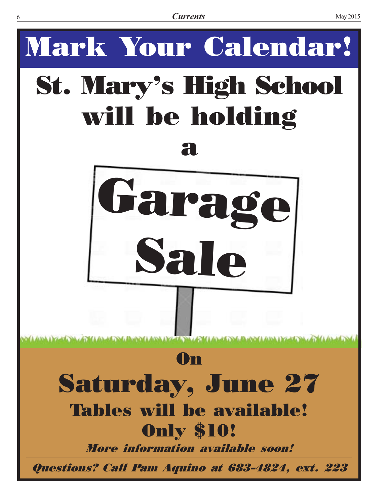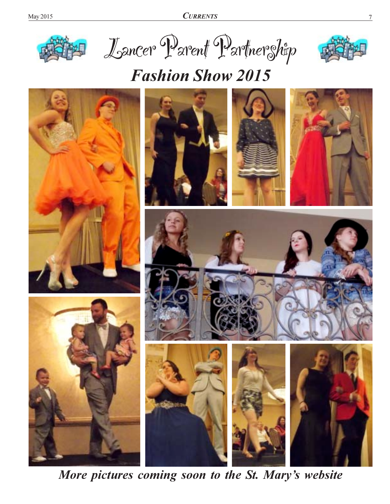**CURRENTS** 







## **Fashion Show 2015**



More pictures coming soon to the St. Mary's website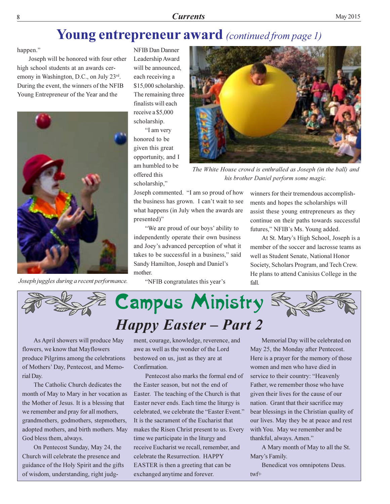### Young entrepreneur award (continued from page 1)

happen."

Joseph will be honored with four other high school students at an awards ceremony in Washington, D.C., on July 23rd. During the event, the winners of the NFIB Young Entrepreneur of the Year and the



Joseph juggles during a recent performance.

**NFIB Dan Danner** Leadership Award will be announced, each receiving a \$15,000 scholarship. The remaining three finalists will each receive a \$5,000 scholarship.

"I am very honored to be given this great opportunity, and I am humbled to be offered this scholarship,"



The White House crowd is enthralled as Joseph (in the ball) and his brother Daniel perform some magic.

Joseph commented. "I am so proud of how the business has grown. I can't wait to see what happens (in July when the awards are presented)"

"We are proud of our boys' ability to independently operate their own business and Joey's advanced perception of what it takes to be successful in a business," said Sandy Hamilton, Joseph and Daniel's mother.

"NFIB congratulates this year's

winners for their tremendous accomplishments and hopes the scholarships will assist these young entrepreneurs as they continue on their paths towards successful futures," NFIB's Ms. Young added.

At St. Mary's High School, Joseph is a member of the soccer and lacrosse teams as well as Student Senate, National Honor Society, Scholars Program, and Tech Crew. He plans to attend Canisius College in the fall.



As April showers will produce May flowers, we know that Mayflowers produce Pilgrims among the celebrations of Mothers' Day, Pentecost, and Memorial Day.

The Catholic Church dedicates the month of May to Mary in her vocation as the Mother of Jesus. It is a blessing that we remember and pray for all mothers, grandmothers, godmothers, stepmothers, adopted mothers, and birth mothers. May God bless them, always.

On Pentecost Sunday, May 24, the Church will celebrate the presence and guidance of the Holy Spirit and the gifts of wisdom, understanding, right judgment, courage, knowledge, reverence, and awe as well as the wonder of the Lord bestowed on us, just as they are at Confirmation.

Pentecost also marks the formal end of the Easter season, but not the end of Easter. The teaching of the Church is that Easter never ends. Each time the liturgy is celebrated, we celebrate the "Easter Event." It is the sacrament of the Eucharist that makes the Risen Christ present to us. Every time we participate in the liturgy and receive Eucharist we recall, remember, and celebrate the Resurrection. HAPPY EASTER is then a greeting that can be exchanged anytime and forever.

Memorial Day will be celebrated on May 25, the Monday after Pentecost. Here is a prayer for the memory of those women and men who have died in service to their country: "Heavenly Father, we remember those who have given their lives for the cause of our nation. Grant that their sacrifice may bear blessings in the Christian quality of our lives. May they be at peace and rest with You. May we remember and be thankful, always. Amen."

A Mary month of May to all the St. Mary's Family.

Benedicat vos omnipotens Deus.  $twf+$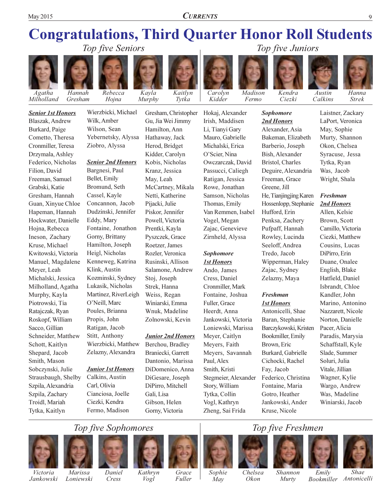**CURRENTS** 

#### **Congratulations, Third Quarter Honor Roll Students** Top five Seniors Top five Juniors



**Blaszak**, Andrew

Cometto, Theresa

Cronmiller, Teresa

Drzymala, Ashley

Federico, Nicholas

Freeman, Samuel

Gresham, Hannah

Guan, Xinyue Chloe

Hapeman, Hannah

Hojna, Rebecca

Ineson, Zachary

Kruse, Michael

Meyer, Leah

Kwitowski, Victoria

Manuel, Magdalene

Michalski, Jessica

Milholland, Agatha

Murphy, Kayla

Piotrowski, Tia

Ratajczak, Ryan

Sacco, Gillian

Schott, Kaitlyn

Shepard, Jacob

Sobczynski, Julie

Szpila, Alexandria

Szpila, Zachary

Troidl, Mariah

Tytka, Kaitlyn

Strausbaugh, Shelby

Smith, Mason

Roskopf, William

Schneider, Matthew

Hockwater, Danielle

Filion, David

Grabski, Katie

Burkard, Paige



Gresham Hojna Wierzbicki, Michael **Senior 1st Honors** Wilk. Amber Wilson, Sean

#### **Senior 2nd Honors**

Ziobro, Alyssa

Yebernetsky, Alyssa

Bargnesi, Paul Bellet, Emily Bromund, Seth Cassel, Kayle Concannon, Jacob Dudzinski, Jennifer Eddy, Mary Fontaine, Jonathon Gorny, Brittany Hamilton, Joseph Heigl, Nicholas Kenneweg, Katrina Klink, Austin Kozminski, Sydney Lukasik, Nicholas Martinez, RiverLeigh O'Neill, Marc Poules, Brianna Propis, John Ratigan, Jacob Stitt, Anthony Wierzbicki, Matthew Zelazny, Alexandra

#### **Junior 1st Honors**

Calkins, Austin Carl, Olivia Cianciosa, Joelle Ciezki, Kendra Fermo, Madison

Gu, Jia Wei Jimmy Hamilton, Ann Hathaway, Jack Herod, Bridget Kidder, Carolyn Kobis, Nicholas Kranz, Jessica May, Leah McCartney, Mikala Netti, Katherine Pijacki, Julie Piskor, Jennifer Powell, Victoria Prentki, Kayla Pyszczek, Grace Roetzer, James Rozler, Veronica Rusinski, Allison Salamone, Andrew Stoj, Joseph Strek, Hanna Weiss, Regan Winiarski, Emma Wnuk, Madeline Zolnowski, Kevin

#### **Junior 2nd Honors**

Berchou, Bradley Braniecki, Garrett Dantonio, Marissa DiDomenico, Anna DiGesare, Joseph DiPirro, Mitchell Gali, Lisa Gibson, Helen Gorny, Victoria



Hokaj, Alexander

Irish, Maddisen

Mauro, Gabrielle

Michalski, Erica

Owczarczak, David

Passucci, Caliegh

Ratigan, Jessica

Rowe, Jonathan

Thomas, Emily

Vogel, Megan

Sophomore

**1st Honors** 

Ando, James

Cress, Daniel

Fuller, Grace

Heerdt, Anna

Meyer, Caitlyn

Meyers, Faith

Paul, Alex

Smith, Kristi

Story, William

Tytka, Collin

Vogl, Kathryn

Zheng, Sai Frida

Cronmiller, Mark

Fontaine, Joshua

Jankowski, Victoria

Loniewski, Marissa

Meyers, Savannah

Stegmeier, Alexander

Zajac, Genevieve

Zirnheld, Alyssa

Samson, Nicholas

Van Remmen, Isabel

O'Scier, Nina

Li, Tianyi Gary

Madison Fermo



**Sophomore** 

2nd Honors

Alexander, Asia

Barberio, Joseph

Bish, Alexander

Bristol, Charles

Freeman, Grace

Greene, Jill

Hufford, Erin

Penksa, Zachery

Pufpaff, Hannah

Rowley, Lucinda

Seeloff, Andrea

Wipperman, Haley

Tredo, Jacob

Zajac, Sydney

Zelazny, Maya

**Freshman** 

**1st Honors** 

Brown, Eric

Fay, Jacob

Antonicelli, Shae

Baran, Stephanie

Bookmiller, Emily

Burkard, Gabrielle

Cichocki, Rachel

Federico, Christina

Fontaine, Maria

Gotro, Heather

Kruse, Nicole

Jankowski, Ander

Barczykowski, Kristen

Deguire, Alexandria

He, Tianjingjing Karen

Hossenlopp, Stephanie

Bakeman, Elizabeth



Austin Calkins

> Laistner, Zackary LaPort, Veronica May, Sophie Murty, Shannon Okon, Chelsea Syracuse, Jessa Tytka, Ryan Was, Jacob Wright, Shala

#### **Freshman** 2nd Honors

Allen, Kelsie Brown, Scott Camillo, Victoria Ciezki, Matthew Cousins, Lucas DiPirro, Erin Duane, Onalee English, Blake Hatfield, Daniel Isbrandt, Chloe Kandler, John Marino, Antonino Nazzarett, Nicole Norton, Danielle Pacer, Alicia Paradis, Marysia Schaffstall, Kyle Slade, Summer Soluri, Julia Vitale, Jillian Wagner, Kylie Wargo, Andrew Was, Madeline Winiarski, Jacob

### Top five Sophomores



Victoria

Jankowski





Daniel Cress

Kathryn Vogl

Grace Fuller













Sophie May

Chelsea Shannon Okon Murty

Emily

**Shae** Bookmiller Antonicelli

Kaitlyn Tytka

Gresham, Christopher

Kavla

Murphy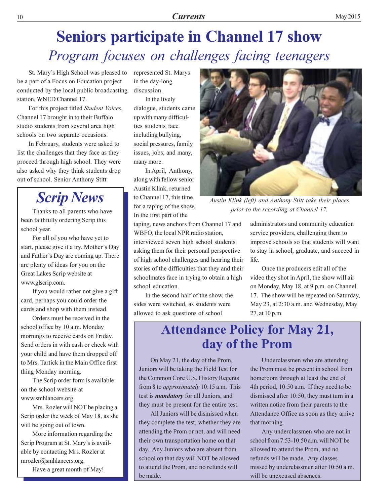## **Seniors participate in Channel 17 show** Program focuses on challenges facing teenagers

St. Mary's High School was pleased to be a part of a Focus on Education project conducted by the local public broadcasting station, WNED Channel 17.

For this project titled Student Voices, Channel 17 brought in to their Buffalo studio students from several area high schools on two separate occasions.

In February, students were asked to list the challenges that they face as they proceed through high school. They were also asked why they think students drop out of school. Senior Anthony Stitt

### **Scrip News**

Thanks to all parents who have been faithfully ordering Scrip this school year.

For all of you who have yet to start, please give it a try. Mother's Day and Father's Day are coming up. There are plenty of ideas for you on the Great Lakes Scrip website at www.glscrip.com.

If you would rather not give a gift card, perhaps you could order the cards and shop with them instead.

Orders must be received in the school office by 10 a.m. Monday mornings to receive cards on Friday. Send orders in with cash or check with your child and have them dropped off to Mrs. Tartick in the Main Office first thing Monday morning.

The Scrip order form is available on the school website at www.smhlancers.org.

Mrs. Rozler will NOT be placing a Scrip order the week of May 18, as she will be going out of town.

More information regarding the Scrip Program at St. Mary's is available by contacting Mrs. Rozler at mrozler@smhlancers.org.

Have a great month of May!

represented St. Marys in the day-long discussion.

In the lively dialogue, students came up with many difficulties students face including bullying, social pressures, family issues, jobs, and many, many more.

In April, Anthony, along with fellow senior Austin Klink, returned to Channel 17, this time for a taping of the show. In the first part of the

taping, news anchors from Channel 17 and WBFO, the local NPR radio station, interviewed seven high school students asking them for their personal perspective of high school challenges and hearing their stories of the difficulties that they and their schoolmates face in trying to obtain a high school education.

In the second half of the show, the sides were switched, as students were allowed to ask questions of school



Austin Klink (left) and Anthony Stitt take their places prior to the recording at Channel 17.

administrators and community education service providers, challenging them to improve schools so that students will want to stay in school, graduate, and succeed in life.

Once the producers edit all of the video they shot in April, the show will air on Monday, May 18, at 9 p.m. on Channel 17. The show will be repeated on Saturday, May 23, at 2:30 a.m. and Wednesday, May 27, at 10 p.m.

### **Attendance Policy for May 21,** day of the Prom

On May 21, the day of the Prom, Juniors will be taking the Field Test for the Common Core U.S. History Regents from 8 to *approximately* 10:15 a.m. This test is *mandatory* for all Juniors, and they must be present for the entire test.

All Juniors will be dismissed when they complete the test, whether they are attending the Prom or not, and will need their own transportation home on that day. Any Juniors who are absent from school on that day will NOT be allowed to attend the Prom, and no refunds will be made.

Underclassmen who are attending the Prom must be present in school from homeroom through at least the end of 4th period, 10:50 a.m. If they need to be dismissed after 10:50, they must turn in a written notice from their parents to the Attendance Office as soon as they arrive that morning.

Any underclassmen who are not in school from 7:53-10:50 a.m. will NOT be allowed to attend the Prom, and no refunds will be made. Any classes missed by underclassmen after 10:50 a.m. will be unexcused absences.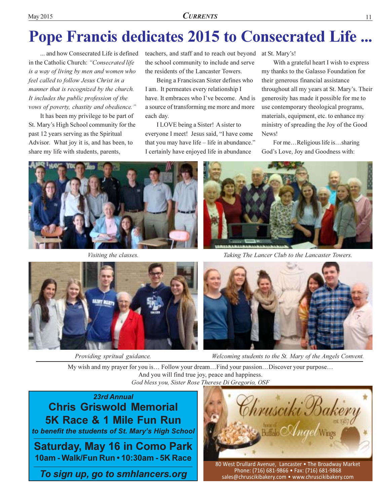## **Pope Francis dedicates 2015 to Consecrated Life ...**

... and how Consecrated Life is defined in the Catholic Church: "Consecrated life is a way of living by men and women who feel called to follow Jesus Christ in a manner that is recognized by the church. It includes the public profession of the vows of poverty, chastity and obedience."

It has been my privilege to be part of St. Mary's High School community for the past 12 years serving as the Spiritual Advisor. What joy it is, and has been, to share my life with students, parents,

teachers, and staff and to reach out beyond at St. Mary's! the school community to include and serve the residents of the Lancaster Towers.

Being a Franciscan Sister defines who I am. It permeates every relationship I have. It embraces who I've become. And is a source of transforming me more and more each day.

I LOVE being a Sister! A sister to everyone I meet! Jesus said, "I have come that you may have life - life in abundance." I certainly have enjoyed life in abundance

With a grateful heart I wish to express my thanks to the Galasso Foundation for their generous financial assistance throughout all my years at St. Mary's. Their generosity has made it possible for me to use contemporary theological programs, materials, equipment, etc. to enhance my ministry of spreading the Joy of the Good News!

For me...Religious life is...sharing God's Love, Joy and Goodness with:



Visiting the classes.



Taking The Lancer Club to the Lancaster Towers.



Providing spritual guidance.



Welcoming students to the St. Mary of the Angels Convent.

My wish and my prayer for you is... Follow your dream... Find your passion...Discover your purpose... And you will find true joy, peace and happiness. God bless vou, Sister Rose Therese Di Gregorio, OSF

23rd Annual **Chris Griswold Memorial** 5K Race & 1 Mile Fun Run to benefit the students of St. Mary's High School **Saturday, May 16 in Como Park** 10am - Walk/Fun Run • 10:30am - 5K Race

To sign up, go to smhlancers.org

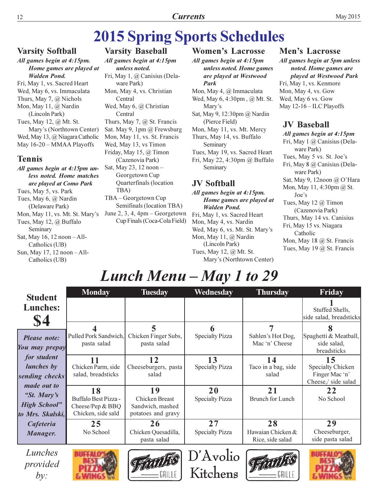## **2015 Spring Sports Schedules**

#### **Varsity Softball**

All games begin at 4:15pm. Home games are played at **Walden Pond.** Fri, May 1, vs. Sacred Heart Wed, May 6, vs. Immaculata Thurs, May 7,  $\omega$  Nichols Mon, May 11, @ Nardin (Lincoln Park) Tues, May 12, @ Mt. St. Mary's (Northtown Center) Wed, May 13, @ Niagara Catholic May 16-20 - MMAA Playoffs **Tennis** All games begin at 4:15pm un-

#### less noted. Home matches are played at Como Park Tues, May 5, vs. Park Tues, May 6, @ Nardin (Delaware Park) Mon, May 11, vs. Mt. St. Mary's Tues, May 12, @ Buffalo Seminary Sat, May 16, 12 noon - All-Catholics (UB) Sun, May 17, 12 noon - All-Catholics (UB)

**Varsity Baseball** All games begin at 4:15pm unless noted. Fri, May 1, @ Canisius (Delaware Park) Mon, May 4, vs. Christian Central Wed, May 6, @ Christian Central Thurs, May 7, @ St. Francis Sat. May 9, 1pm @ Frewsburg Mon, May 11, vs. St. Francis Wed, May 13, vs Timon Friday, May 15, @ Timon (Cazenovia Park) Sat, May 23, 12 noon -Georgetown Cup Quarterfinals (location TBA) TBA - Georgetown Cup Semifinals (location TBA) June 2, 3, 4,  $4$ pm – Georgetown Cup Finals (Coca-Cola Field)

#### **Women's Lacrosse**

All games begin at 4:15pm unless noted. Home games are played at Westwood Park Mon, May 4, @ Immaculata Wed, May 6, 4:30pm, @ Mt. St. Mary's Sat, May 9, 12:30pm @ Nardin (Pierce Field) Mon, May 11, vs. Mt. Mercy Thurs, May 14, vs. Buffalo Seminary

Tues, May 19, vs. Sacred Heart Fri, May 22, 4:30pm @ Buffalo Seminary

#### **JV Softball**

All games begin at 4:15pm. Home games are played at **Walden Pond.** Fri, May 1, vs. Sacred Heart Mon, May 4, vs. Nardin Wed, May 6, vs. Mt. St. Mary's Mon, May 11, @ Nardin (Lincoln Park) Tues, May 12, @ Mt. St. Mary's (Northtown Center)

#### **Men's Lacrosse**

All games begin at 5pm unless noted. Home games are played at Westwood Park Fri, May 1, vs. Kenmore Mon, May 4, vs. Gow Wed, May 6 vs. Gow May 12-16 - ILC Playoffs

#### **JV Baseball**

All games begin at 4:15pm Fri, May 1 @ Canisius (Delaware Park) Tues, May 5 vs. St. Joe's Fri, May 8 @ Canisius (Delaware Park) Sat, May 9, 12noon @ O'Hara Mon, May  $11, 4:30 \text{pm} \ (a)$  St. Joe's Tues, May 12  $@$  Timon (Cazenovia Park) Thurs, May 14 vs. Canisius Fri, May 15 vs. Niagara Catholic Mon, May 18 @ St. Francis Tues, May 19 @ St. Francis

## Lunch Menu - May 1 to 29

| <b>Student</b>                                                               | <b>Monday</b>                                                                | <b>Tuesday</b>                                                 | Wednesday                    | <b>Thursday</b>                             | Friday                                                           |
|------------------------------------------------------------------------------|------------------------------------------------------------------------------|----------------------------------------------------------------|------------------------------|---------------------------------------------|------------------------------------------------------------------|
| <b>Lunches:</b><br>\$4                                                       |                                                                              |                                                                |                              |                                             | Stuffed Shells,<br>side salad, breadsticks                       |
| Please note:<br>You may prepay                                               | Pulled Pork Sandwich,<br>pasta salad                                         | Chicken Finger Subs,<br>pasta salad                            | <b>Specialty Pizza</b>       | Sahlen's Hot Dog,<br>Mac 'n' Cheese         | Spaghetti & Meatball,<br>side salad,<br>breadsticks              |
| for student<br><i>lunches</i> by<br>sending checks                           | 11<br>Chicken Parm, side<br>salad, breadsticks                               | 12<br>Cheeseburgers, pasta<br>salad                            | 13<br><b>Specialty Pizza</b> | 14<br>Taco in a bag, side<br>salad          | 15<br>Specialty Chicken<br>Finger Mac 'n'<br>Cheese,/ side salad |
| <i>made out to</i><br>"St. Mary's<br><b>High School"</b><br>to Mrs. Skalski, | 18<br><b>Buffalo Best Pizza-</b><br>Cheese/Pep $&$ BBQ<br>Chicken, side sald | 19<br>Chicken Breast<br>Sandwich, mashed<br>potatoes and gravy | 20<br><b>Specialty Pizza</b> | 21<br><b>Brunch for Lunch</b>               | 22<br>No School                                                  |
| Cafeteria<br>Manager.                                                        | 25<br>No School                                                              | 26<br>Chicken Quesadilla,<br>pasta salad                       | 27<br><b>Specialty Pizza</b> | 28<br>Hawaian Chicken &<br>Rice, side salad | 29<br>Cheeseburger,<br>side pasta salad                          |
| Lunches<br>provided                                                          |                                                                              |                                                                | D'Avolio                     |                                             |                                                                  |

 $\rule{1em}{0em}$   $\qquad$   $\qquad$   $\qquad$   $\qquad$   $\qquad$   $\qquad$   $\qquad$   $\qquad$   $\qquad$   $\qquad$   $\qquad$   $\qquad$   $\qquad$   $\qquad$   $\qquad$   $\qquad$   $\qquad$   $\qquad$   $\qquad$   $\qquad$   $\qquad$   $\qquad$   $\qquad$   $\qquad$   $\qquad$   $\qquad$   $\qquad$   $\qquad$   $\qquad$   $\qquad$   $\qquad$   $\qquad$   $\qquad$   $\qquad$   $\qquad$ 





12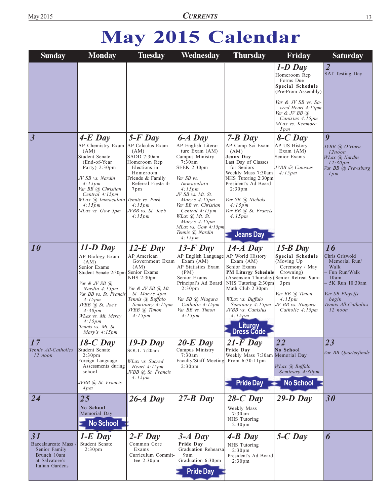## May 2015 Calendar

| <b>Sunday</b>                                                                                 | <b>Monday</b>                                                                                                                                                                                                                                                                    | <b>Tuesday</b>                                                                                                                                                                                            | Wednesday                                                                                                                                                                                                                                                                                                      | <b>Thursday</b>                                                                                                                                                                                                                                                           | Friday                                                                                                                                                                                           | <b>Saturday</b>                                                                                                                                            |
|-----------------------------------------------------------------------------------------------|----------------------------------------------------------------------------------------------------------------------------------------------------------------------------------------------------------------------------------------------------------------------------------|-----------------------------------------------------------------------------------------------------------------------------------------------------------------------------------------------------------|----------------------------------------------------------------------------------------------------------------------------------------------------------------------------------------------------------------------------------------------------------------------------------------------------------------|---------------------------------------------------------------------------------------------------------------------------------------------------------------------------------------------------------------------------------------------------------------------------|--------------------------------------------------------------------------------------------------------------------------------------------------------------------------------------------------|------------------------------------------------------------------------------------------------------------------------------------------------------------|
|                                                                                               |                                                                                                                                                                                                                                                                                  |                                                                                                                                                                                                           |                                                                                                                                                                                                                                                                                                                |                                                                                                                                                                                                                                                                           | $1-D$ Day<br>Homeroom Rep<br>Forms Due<br>Special Schedule<br>(Pre-Prom Assembly)<br>Var & JV SB vs. Sa-<br>cred Heart 4:15pm<br>Var & JV BB $(a)$<br>Canisius 4:15pm<br>MLax vs. Kenmore<br>5pm | $\overline{2}$<br><b>SAT Testing Day</b>                                                                                                                   |
| $\overline{\mathbf{3}}$                                                                       | $4-E$ Day<br>AP Chemistry Exam<br>(AM)<br>Student Senate<br>(End-of-Year)<br>Party) 2:30pm<br>JV SB vs. Nardin<br>4:15pm<br>Var BB @ Christian<br>Central 4:15pm<br>WLax @ Immaculata Tennis vs. Park<br>4:15pm<br>MLax vs. Gow 5pm                                              | $5$ - $F$ Day<br>AP Calculus Exam<br>(AM)<br>SADD 7:30am<br>Homeroom Rep<br>Elections in<br>Homeroom<br>Friends & Family<br>Referral Fiesta 4-<br>$7 \text{pm}$<br>4:15pm<br>JVBB vs. St. Joe's<br>4:15pm | $6-A$ Day<br>AP English Litera-<br>ture Exam (AM)<br>Campus Ministry<br>7:30am<br>SEEK 2:30pm<br>Var SB vs.<br>Immaculata<br>4:15pm<br>JV SB vs. Mt. St.<br>Mary's $4:15pm$<br>Var BB vs. Christian<br>Central 4:15pm<br>WLax @ Mt. St.<br>Mary's $4:15pm$<br>MLax vs. Gow 4:15pm<br>Tennis @ Nardin<br>4:15pm | $7 - B$ Day<br>AP Comp Sci Exam<br>(AM)<br>Jeans Day<br>Last Day of Classes<br>for Seniors<br>Weekly Mass 7:30am<br>NHS Tutoring 2:30pm<br>President's Ad Board<br>2:30 <sub>pm</sub><br>Var SB @ Nichols<br>4:15pm<br>Var BB @ St. Francis<br>4:15pm<br><b>Jeans Day</b> | $8-C$ Day<br>AP US History<br>Exam $(AM)$<br>Senior Exams<br>JVBB @ Canisius<br>4:15pm                                                                                                           | $\boldsymbol{q}$<br>JVBB @ O'Hara<br>$12$ noon<br>WLax (a) Nardin<br>12:30pm<br>Var BB @ Frewsburg<br>lpm                                                  |
| 10                                                                                            | $11-D$ Day<br>AP Biology Exam<br>(AM)<br>Senior Exams<br>Student Senate 2:30pm Senior Exams<br>Var & JV SB $(a)$<br>Nardin 4:15pm<br>Var BB vs. St. Francis<br>4:15pm<br>$JVBB$ (a) St. Joe's<br>4:30pm<br>WLax vs. Mt. Mercy<br>4:15pm<br>Tennis vs. Mt. St.<br>Mary's $4:15pm$ | $12-E$ Day<br>AP American<br>Government Exam<br>(AM)<br>NHS 2:30pm<br>Var & JV SB $(a)$ Mt.<br>St. Mary's 4pm<br>Tennis @ Buffalo<br>Seminary 4:15pm<br>JVBB @ Timon<br>4:15pm                            | $13$ -F Day<br>AP English Language AP World History<br>Exam $(AM)$<br>AP Statistics Exam<br>(PM)<br>Senior Exams<br>Principal's Ad Board<br>2:30 <sub>pm</sub><br>Var SB @ Niagara<br>Catholic 4:15pm<br>Var BB vs. Timon<br>4:15pm                                                                            | $14-A$ Day<br>Exam $(AM)$<br>Senior Exams<br><b>PM Liturgy Schedule</b><br>(Ascension Thursday)<br>NHS Tutoring 2:30pm<br>Math Club 2:30pm<br>WLax vs. Buffalo<br>Seminary 4:15pm<br>JVBB vs. Canisius<br>4:15pm<br><b>Liturgy</b><br>Dress Code                          | $15-B$ Day<br>Special Schedule<br>(Moving Up<br>Ceremony / May<br>Crowning)<br>Senior Retreat 9am-<br>$3 \text{ pm}$<br>Var BB @ Timon<br>4:15pm<br>JV BB vs. Niagara<br>Catholic 4:15pm         | 16<br>Chris Griswold<br>Memorial Run/<br>Walk<br>Fun Run/Walk<br>10am<br>- 5K Run 10:30am<br>Var SB Playoffs<br>begin<br>Tennis All-Catholics<br>$12$ noon |
| 17<br>Tennis All-Catholics<br>$12$ noon                                                       | $18-C$ Day<br>Student Senate<br>2:30 <sub>pm</sub><br>Foreign Language<br>Assessments during<br>school<br>JVBB @ St. Francis<br>4pm                                                                                                                                              | $19-D$ Day<br>SOUL 7:20am<br>WLax vs. Sacred<br>Heart $4:15$ pm<br>JVBB @ St. Francis<br>4:15pm                                                                                                           | $20-E$ Day<br>Campus Ministry<br>7:30am<br>Faculty/Staff Meeting Prom 6:30-11pm<br>2:30 <sub>pm</sub>                                                                                                                                                                                                          | $21-\bar{F}$ Day<br>Pride Day<br>Weekly Mass 7:30am Memorial Day<br><b>Pride Day</b>                                                                                                                                                                                      | 22<br>No School<br>WLax (a) Buffalo<br>Seminary 4:30pm<br><b>No School</b>                                                                                                                       | 23<br>Var BB Quarterfinals                                                                                                                                 |
| 24                                                                                            | 25<br>No School<br>Memorial Day<br><b>No School</b>                                                                                                                                                                                                                              | $26-A$ Day                                                                                                                                                                                                | $27 - B$ Day                                                                                                                                                                                                                                                                                                   | $28-C$ Day<br>Weekly Mass<br>7:30am<br>NHS Tutoring<br>2:30 <sub>pm</sub>                                                                                                                                                                                                 | $29-D$ Day                                                                                                                                                                                       | 30                                                                                                                                                         |
| 31<br>Baccalaureate Mass<br>Senior Family<br>Brunch 10am<br>at Salvatore's<br>Italian Gardens | $1-E$ Day<br>Student Senate<br>2:30 <sub>pm</sub>                                                                                                                                                                                                                                | $2-F$ Day<br>Common Core<br>Exams<br>Curriculum Commit-<br>tee $2:30 \text{pm}$                                                                                                                           | $3-A$ Day<br>Pride Dav<br>Graduation Rehearsal<br>9am<br>Graduation 6:30pm<br><b>Pride Day</b>                                                                                                                                                                                                                 | $4-B$ Day<br>NHS Tutoring<br>2:30 <sub>pm</sub><br>President's Ad Board<br>2:30 <sub>pm</sub>                                                                                                                                                                             | $5-C$ Day                                                                                                                                                                                        | 6                                                                                                                                                          |